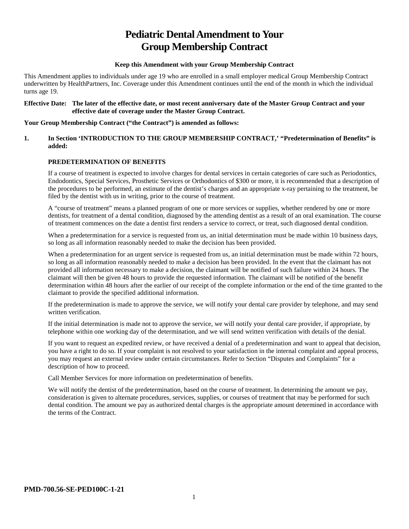# **Pediatric Dental Amendment to Your Group Membership Contract**

## **Keep this Amendment with your Group Membership Contract**

This Amendment applies to individuals under age 19 who are enrolled in a small employer medical Group Membership Contract underwritten by HealthPartners, Inc. Coverage under this Amendment continues until the end of the month in which the individual turns age 19.

#### **Effective Date: The later of the effective date, or most recent anniversary date of the Master Group Contract and your effective date of coverage under the Master Group Contract.**

## **Your Group Membership Contract ("the Contract") is amended as follows:**

## **1. In Section 'INTRODUCTION TO THE GROUP MEMBERSHIP CONTRACT,' "Predetermination of Benefits" is added:**

## **PREDETERMINATION OF BENEFITS**

If a course of treatment is expected to involve charges for dental services in certain categories of care such as Periodontics, Endodontics, Special Services, Prosthetic Services or Orthodontics of \$300 or more, it is recommended that a description of the procedures to be performed, an estimate of the dentist's charges and an appropriate x-ray pertaining to the treatment, be filed by the dentist with us in writing, prior to the course of treatment.

A "course of treatment" means a planned program of one or more services or supplies, whether rendered by one or more dentists, for treatment of a dental condition, diagnosed by the attending dentist as a result of an oral examination. The course of treatment commences on the date a dentist first renders a service to correct, or treat, such diagnosed dental condition.

When a predetermination for a service is requested from us, an initial determination must be made within 10 business days, so long as all information reasonably needed to make the decision has been provided.

When a predetermination for an urgent service is requested from us, an initial determination must be made within 72 hours, so long as all information reasonably needed to make a decision has been provided. In the event that the claimant has not provided all information necessary to make a decision, the claimant will be notified of such failure within 24 hours. The claimant will then be given 48 hours to provide the requested information. The claimant will be notified of the benefit determination within 48 hours after the earlier of our receipt of the complete information or the end of the time granted to the claimant to provide the specified additional information.

If the predetermination is made to approve the service, we will notify your dental care provider by telephone, and may send written verification.

If the initial determination is made not to approve the service, we will notify your dental care provider, if appropriate, by telephone within one working day of the determination, and we will send written verification with details of the denial.

If you want to request an expedited review, or have received a denial of a predetermination and want to appeal that decision, you have a right to do so. If your complaint is not resolved to your satisfaction in the internal complaint and appeal process, you may request an external review under certain circumstances. Refer to Section "Disputes and Complaints" for a description of how to proceed.

Call Member Services for more information on predetermination of benefits.

We will notify the dentist of the predetermination, based on the course of treatment. In determining the amount we pay, consideration is given to alternate procedures, services, supplies, or courses of treatment that may be performed for such dental condition. The amount we pay as authorized dental charges is the appropriate amount determined in accordance with the terms of the Contract.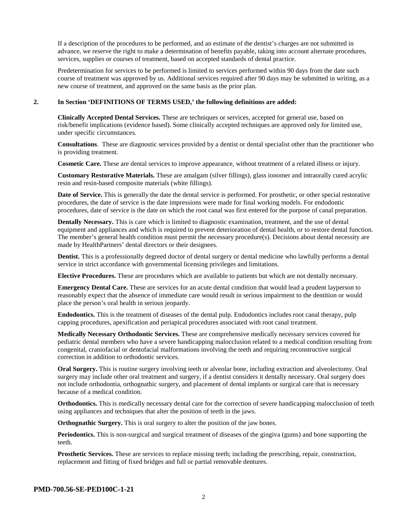If a description of the procedures to be performed, and an estimate of the dentist's charges are not submitted in advance, we reserve the right to make a determination of benefits payable, taking into account alternate procedures, services, supplies or courses of treatment, based on accepted standards of dental practice.

Predetermination for services to be performed is limited to services performed within 90 days from the date such course of treatment was approved by us. Additional services required after 90 days may be submitted in writing, as a new course of treatment, and approved on the same basis as the prior plan.

#### **2. In Section 'DEFINITIONS OF TERMS USED,' the following definitions are added:**

**Clinically Accepted Dental Services.** These are techniques or services, accepted for general use, based on risk/benefit implications (evidence based). Some clinically accepted techniques are approved only for limited use, under specific circumstances.

**Consultations**. These are diagnostic services provided by a dentist or dental specialist other than the practitioner who is providing treatment.

**Cosmetic Care.** These are dental services to improve appearance, without treatment of a related illness or injury.

**Customary Restorative Materials.** These are amalgam (silver fillings), glass ionomer and intraorally cured acrylic resin and resin-based composite materials (white fillings).

**Date of Service.** This is generally the date the dental service is performed. For prosthetic, or other special restorative procedures, the date of service is the date impressions were made for final working models. For endodontic procedures, date of service is the date on which the root canal was first entered for the purpose of canal preparation.

**Dentally Necessary.** This is care which is limited to diagnostic examination, treatment, and the use of dental equipment and appliances and which is required to prevent deterioration of dental health, or to restore dental function. The member's general health condition must permit the necessary procedure(s). Decisions about dental necessity are made by HealthPartners' dental directors or their designees.

**Dentist.** This is a professionally degreed doctor of dental surgery or dental medicine who lawfully performs a dental service in strict accordance with governmental licensing privileges and limitations.

**Elective Procedures.** These are procedures which are available to patients but which are not dentally necessary.

**Emergency Dental Care.** These are services for an acute dental condition that would lead a prudent layperson to reasonably expect that the absence of immediate care would result in serious impairment to the dentition or would place the person's oral health in serious jeopardy.

**Endodontics.** This is the treatment of diseases of the dental pulp. Endodontics includes root canal therapy, pulp capping procedures, apexification and periapical procedures associated with root canal treatment.

**Medically Necessary Orthodontic Services.** These are comprehensive medically necessary services covered for pediatric dental members who have a severe handicapping malocclusion related to a medical condition resulting from congenital, craniofacial or dentofacial malformations involving the teeth and requiring reconstructive surgical correction in addition to orthodontic services.

**Oral Surgery.** This is routine surgery involving teeth or alveolar bone, including extraction and alveolectomy. Oral surgery may include other oral treatment and surgery, if a dentist considers it dentally necessary. Oral surgery does not include orthodontia, orthognathic surgery, and placement of dental implants or surgical care that is necessary because of a medical condition.

**Orthodontics.** This is medically necessary dental care for the correction of severe handicapping malocclusion of teeth using appliances and techniques that alter the position of teeth in the jaws.

**Orthognathic Surgery.** This is oral surgery to alter the position of the jaw bones.

**Periodontics.** This is non-surgical and surgical treatment of diseases of the gingiva (gums) and bone supporting the teeth.

**Prosthetic Services.** These are services to replace missing teeth; including the prescribing, repair, construction, replacement and fitting of fixed bridges and full or partial removable dentures.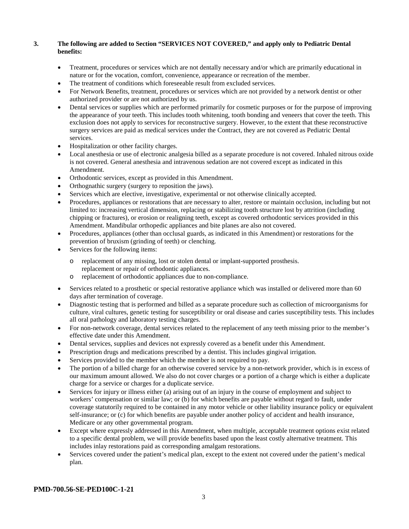## **3. The following are added to Section "SERVICES NOT COVERED," and apply only to Pediatric Dental benefits:**

- Treatment, procedures or services which are not dentally necessary and/or which are primarily educational in nature or for the vocation, comfort, convenience, appearance or recreation of the member.
- The treatment of conditions which foreseeable result from excluded services.
- For Network Benefits, treatment, procedures or services which are not provided by a network dentist or other authorized provider or are not authorized by us.
- Dental services or supplies which are performed primarily for cosmetic purposes or for the purpose of improving the appearance of your teeth. This includes tooth whitening, tooth bonding and veneers that cover the teeth. This exclusion does not apply to services for reconstructive surgery. However, to the extent that these reconstructive surgery services are paid as medical services under the Contract, they are not covered as Pediatric Dental services.
- Hospitalization or other facility charges.
- Local anesthesia or use of electronic analgesia billed as a separate procedure is not covered. Inhaled nitrous oxide is not covered. General anesthesia and intravenous sedation are not covered except as indicated in this Amendment.
- Orthodontic services, except as provided in this Amendment.
- Orthognathic surgery (surgery to reposition the jaws).
- Services which are elective, investigative, experimental or not otherwise clinically accepted.
- Procedures, appliances or restorations that are necessary to alter, restore or maintain occlusion, including but not limited to: increasing vertical dimension, replacing or stabilizing tooth structure lost by attrition (including chipping or fractures), or erosion or realigning teeth, except as covered orthodontic services provided in this Amendment. Mandibular orthopedic appliances and bite planes are also not covered.
- Procedures, appliances (other than occlusal guards, as indicated in this Amendment) or restorations for the prevention of bruxism (grinding of teeth) or clenching.
- Services for the following items:
	- o replacement of any missing, lost or stolen dental or implant-supported prosthesis. replacement or repair of orthodontic appliances.
	- o replacement of orthodontic appliances due to non-compliance.
- Services related to a prosthetic or special restorative appliance which was installed or delivered more than 60 days after termination of coverage.
- Diagnostic testing that is performed and billed as a separate procedure such as collection of microorganisms for culture, viral cultures, genetic testing for susceptibility or oral disease and caries susceptibility tests. This includes all oral pathology and laboratory testing charges.
- For non-network coverage, dental services related to the replacement of any teeth missing prior to the member's effective date under this Amendment.
- Dental services, supplies and devices not expressly covered as a benefit under this Amendment.
- Prescription drugs and medications prescribed by a dentist. This includes gingival irrigation.
- Services provided to the member which the member is not required to pay.
- The portion of a billed charge for an otherwise covered service by a non-network provider, which is in excess of our maximum amount allowed. We also do not cover charges or a portion of a charge which is either a duplicate charge for a service or charges for a duplicate service.
- Services for injury or illness either (a) arising out of an injury in the course of employment and subject to workers' compensation or similar law; or (b) for which benefits are payable without regard to fault, under coverage statutorily required to be contained in any motor vehicle or other liability insurance policy or equivalent self-insurance; or (c) for which benefits are payable under another policy of accident and health insurance, Medicare or any other governmental program.
- Except where expressly addressed in this Amendment, when multiple, acceptable treatment options exist related to a specific dental problem, we will provide benefits based upon the least costly alternative treatment. This includes inlay restorations paid as corresponding amalgam restorations.
- Services covered under the patient's medical plan, except to the extent not covered under the patient's medical plan.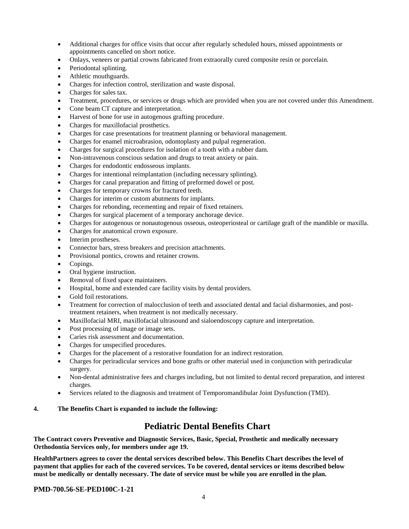- Additional charges for office visits that occur after regularly scheduled hours, missed appointments or appointments cancelled on short notice.
- Onlays, veneers or partial crowns fabricated from extraorally cured composite resin or porcelain.
- Periodontal splinting.
- Athletic mouthguards.
- Charges for infection control, sterilization and waste disposal.
- Charges for sales tax.
- Treatment, procedures, or services or drugs which are provided when you are not covered under this Amendment.
- Cone beam CT capture and interpretation.
- Harvest of bone for use in autogenous grafting procedure.
- Charges for maxillofacial prosthetics.
- Charges for case presentations for treatment planning or behavioral management.
- Charges for enamel microabrasion, odontoplasty and pulpal regeneration.
- Charges for surgical procedures for isolation of a tooth with a rubber dam.
- Non-intravenous conscious sedation and drugs to treat anxiety or pain.
- Charges for endodontic endosseous implants.
- Charges for intentional reimplantation (including necessary splinting).
- Charges for canal preparation and fitting of preformed dowel or post.
- Charges for temporary crowns for fractured teeth.
- Charges for interim or custom abutments for implants.
- Charges for rebonding, recementing and repair of fixed retainers.
- Charges for surgical placement of a temporary anchorage device.
- Charges for autogenous or nonautogenous osseous, osteoperiosteal or cartilage graft of the mandible or maxilla.
- Charges for anatomical crown exposure.
- Interim prostheses.
- Connector bars, stress breakers and precision attachments.
- Provisional pontics, crowns and retainer crowns.
- Copings.
- Oral hygiene instruction.
- Removal of fixed space maintainers.
- Hospital, home and extended care facility visits by dental providers.
- Gold foil restorations.
- Treatment for correction of malocclusion of teeth and associated dental and facial disharmonies, and posttreatment retainers, when treatment is not medically necessary.
- Maxillofacial MRI, maxillofacial ultrasound and sialoendoscopy capture and interpretation.
- Post processing of image or image sets.
- Caries risk assessment and documentation.
- Charges for unspecified procedures.
- Charges for the placement of a restorative foundation for an indirect restoration.
- Charges for periradicular services and bone grafts or other material used in conjunction with periradicular surgery.
- Non-dental administrative fees and charges including, but not limited to dental record preparation, and interest charges.
- Services related to the diagnosis and treatment of Temporomandibular Joint Dysfunction (TMD).

## **4. The Benefits Chart is expanded to include the following:**

## **Pediatric Dental Benefits Chart**

**The Contract covers Preventive and Diagnostic Services, Basic, Special, Prosthetic and medically necessary Orthodontia Services only, for members under age 19.**

**HealthPartners agrees to cover the dental services described below. This Benefits Chart describes the level of payment that applies for each of the covered services. To be covered, dental services or items described below must be medically or dentally necessary. The date of service must be while you are enrolled in the plan.**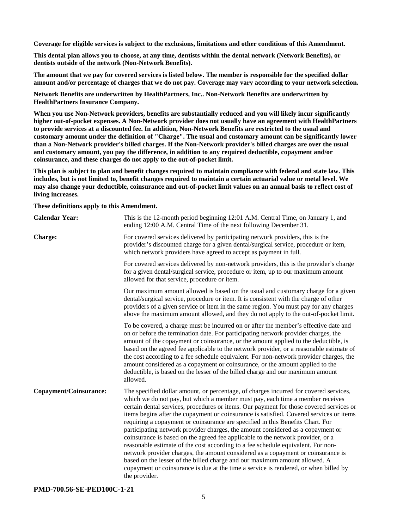**Coverage for eligible services is subject to the exclusions, limitations and other conditions of this Amendment.**

**This dental plan allows you to choose, at any time, dentists within the dental network (Network Benefits), or dentists outside of the network (Non-Network Benefits).**

**The amount that we pay for covered services is listed below. The member is responsible for the specified dollar amount and/or percentage of charges that we do not pay. Coverage may vary according to your network selection.**

**Network Benefits are underwritten by HealthPartners, Inc.. Non-Network Benefits are underwritten by HealthPartners Insurance Company.**

**When you use Non-Network providers, benefits are substantially reduced and you will likely incur significantly higher out-of-pocket expenses. A Non-Network provider does not usually have an agreement with HealthPartners to provide services at a discounted fee. In addition, Non-Network Benefits are restricted to the usual and customary amount under the definition of "Charge". The usual and customary amount can be significantly lower than a Non-Network provider's billed charges. If the Non-Network provider's billed charges are over the usual and customary amount, you pay the difference, in addition to any required deductible, copayment and/or coinsurance, and these charges do not apply to the out-of-pocket limit.**

**This plan is subject to plan and benefit changes required to maintain compliance with federal and state law. This includes, but is not limited to, benefit changes required to maintain a certain actuarial value or metal level. We may also change your deductible, coinsurance and out-of-pocket limit values on an annual basis to reflect cost of living increases.**

**These definitions apply to this Amendment.**

| <b>Calendar Year:</b>  | This is the 12-month period beginning 12:01 A.M. Central Time, on January 1, and<br>ending 12:00 A.M. Central Time of the next following December 31.                                                                                                                                                                                                                                                                                                                                                                                                                                                                                                                                                                                                                                                                                                                                                                                                                               |
|------------------------|-------------------------------------------------------------------------------------------------------------------------------------------------------------------------------------------------------------------------------------------------------------------------------------------------------------------------------------------------------------------------------------------------------------------------------------------------------------------------------------------------------------------------------------------------------------------------------------------------------------------------------------------------------------------------------------------------------------------------------------------------------------------------------------------------------------------------------------------------------------------------------------------------------------------------------------------------------------------------------------|
| Charge:                | For covered services delivered by participating network providers, this is the<br>provider's discounted charge for a given dental/surgical service, procedure or item,<br>which network providers have agreed to accept as payment in full.                                                                                                                                                                                                                                                                                                                                                                                                                                                                                                                                                                                                                                                                                                                                         |
|                        | For covered services delivered by non-network providers, this is the provider's charge<br>for a given dental/surgical service, procedure or item, up to our maximum amount<br>allowed for that service, procedure or item.                                                                                                                                                                                                                                                                                                                                                                                                                                                                                                                                                                                                                                                                                                                                                          |
|                        | Our maximum amount allowed is based on the usual and customary charge for a given<br>dental/surgical service, procedure or item. It is consistent with the charge of other<br>providers of a given service or item in the same region. You must pay for any charges<br>above the maximum amount allowed, and they do not apply to the out-of-pocket limit.                                                                                                                                                                                                                                                                                                                                                                                                                                                                                                                                                                                                                          |
|                        | To be covered, a charge must be incurred on or after the member's effective date and<br>on or before the termination date. For participating network provider charges, the<br>amount of the copayment or coinsurance, or the amount applied to the deductible, is<br>based on the agreed fee applicable to the network provider, or a reasonable estimate of<br>the cost according to a fee schedule equivalent. For non-network provider charges, the<br>amount considered as a copayment or coinsurance, or the amount applied to the<br>deductible, is based on the lesser of the billed charge and our maximum amount<br>allowed.                                                                                                                                                                                                                                                                                                                                               |
| Copayment/Coinsurance: | The specified dollar amount, or percentage, of charges incurred for covered services,<br>which we do not pay, but which a member must pay, each time a member receives<br>certain dental services, procedures or items. Our payment for those covered services or<br>items begins after the copayment or coinsurance is satisfied. Covered services or items<br>requiring a copayment or coinsurance are specified in this Benefits Chart. For<br>participating network provider charges, the amount considered as a copayment or<br>coinsurance is based on the agreed fee applicable to the network provider, or a<br>reasonable estimate of the cost according to a fee schedule equivalent. For non-<br>network provider charges, the amount considered as a copayment or coinsurance is<br>based on the lesser of the billed charge and our maximum amount allowed. A<br>copayment or coinsurance is due at the time a service is rendered, or when billed by<br>the provider. |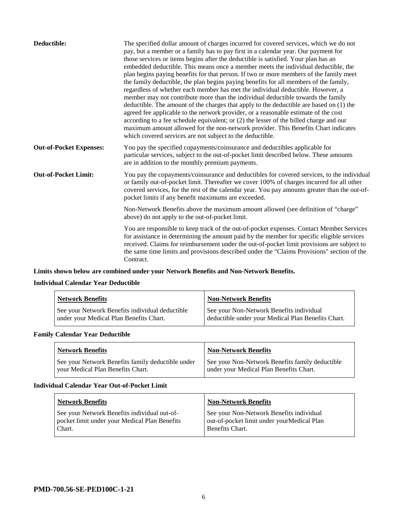| Deductible:                    | The specified dollar amount of charges incurred for covered services, which we do not<br>pay, but a member or a family has to pay first in a calendar year. Our payment for<br>those services or items begins after the deductible is satisfied. Your plan has an<br>embedded deductible. This means once a member meets the individual deductible, the<br>plan begins paying benefits for that person. If two or more members of the family meet<br>the family deductible, the plan begins paying benefits for all members of the family,<br>regardless of whether each member has met the individual deductible. However, a<br>member may not contribute more than the individual deductible towards the family<br>deductible. The amount of the charges that apply to the deductible are based on (1) the<br>agreed fee applicable to the network provider, or a reasonable estimate of the cost<br>according to a fee schedule equivalent; or (2) the lesser of the billed charge and our<br>maximum amount allowed for the non-network provider. This Benefits Chart indicates<br>which covered services are not subject to the deductible. |
|--------------------------------|--------------------------------------------------------------------------------------------------------------------------------------------------------------------------------------------------------------------------------------------------------------------------------------------------------------------------------------------------------------------------------------------------------------------------------------------------------------------------------------------------------------------------------------------------------------------------------------------------------------------------------------------------------------------------------------------------------------------------------------------------------------------------------------------------------------------------------------------------------------------------------------------------------------------------------------------------------------------------------------------------------------------------------------------------------------------------------------------------------------------------------------------------|
| <b>Out-of-Pocket Expenses:</b> | You pay the specified copayments/coinsurance and deductibles applicable for<br>particular services, subject to the out-of-pocket limit described below. These amounts<br>are in addition to the monthly premium payments.                                                                                                                                                                                                                                                                                                                                                                                                                                                                                                                                                                                                                                                                                                                                                                                                                                                                                                                        |
| <b>Out-of-Pocket Limit:</b>    | You pay the copayments/coinsurance and deductibles for covered services, to the individual<br>or family out-of-pocket limit. Thereafter we cover 100% of charges incurred for all other<br>covered services, for the rest of the calendar year. You pay amounts greater than the out-of-<br>pocket limits if any benefit maximums are exceeded.                                                                                                                                                                                                                                                                                                                                                                                                                                                                                                                                                                                                                                                                                                                                                                                                  |
|                                | Non-Network Benefits above the maximum amount allowed (see definition of "charge"<br>above) do not apply to the out-of-pocket limit.                                                                                                                                                                                                                                                                                                                                                                                                                                                                                                                                                                                                                                                                                                                                                                                                                                                                                                                                                                                                             |
|                                | You are responsible to keep track of the out-of-pocket expenses. Contact Member Services<br>for assistance in determining the amount paid by the member for specific eligible services<br>received. Claims for reimbursement under the out-of-pocket limit provisions are subject to<br>the same time limits and provisions described under the "Claims Provisions" section of the<br>Contract.                                                                                                                                                                                                                                                                                                                                                                                                                                                                                                                                                                                                                                                                                                                                                  |

## **Limits shown below are combined under your Network Benefits and Non-Network Benefits.**

## **Individual Calendar Year Deductible**

| <b>Network Benefits</b>                                                                    | <b>Non-Network Benefits</b>                                                                    |
|--------------------------------------------------------------------------------------------|------------------------------------------------------------------------------------------------|
| See your Network Benefits individual deductible<br>under your Medical Plan Benefits Chart. | See your Non-Network Benefits individual<br>deductible under your Medical Plan Benefits Chart. |

## **Family Calendar Year Deductible**

| <b>Network Benefits</b>                                                                | <b>Non-Network Benefits</b>                                                                |
|----------------------------------------------------------------------------------------|--------------------------------------------------------------------------------------------|
| See your Network Benefits family deductible under<br>vour Medical Plan Benefits Chart. | See your Non-Network Benefits family deductible<br>under your Medical Plan Benefits Chart. |

## **Individual Calendar Year Out-of-Pocket Limit**

| <b>Network Benefits</b>                                                                                 | <b>Non-Network Benefits</b>                                                                               |
|---------------------------------------------------------------------------------------------------------|-----------------------------------------------------------------------------------------------------------|
| See your Network Benefits individual out-of-<br>pocket limit under your Medical Plan Benefits<br>Chart. | See your Non-Network Benefits individual<br>out-of-pocket limit under yourMedical Plan<br>Benefits Chart. |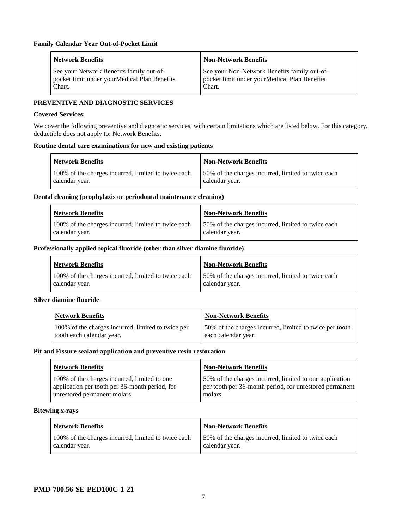| <b>Network Benefits</b>                                                                             | <b>Non-Network Benefits</b>                                                                            |
|-----------------------------------------------------------------------------------------------------|--------------------------------------------------------------------------------------------------------|
| See your Network Benefits family out-of-<br>pocket limit under your Medical Plan Benefits<br>Chart. | See your Non-Network Benefits family out-of-<br>pocket limit under yourMedical Plan Benefits<br>Chart. |

## **PREVENTIVE AND DIAGNOSTIC SERVICES**

#### **Covered Services:**

We cover the following preventive and diagnostic services, with certain limitations which are listed below. For this category, deductible does not apply to: Network Benefits.

#### **Routine dental care examinations for new and existing patients**

| <b>Network Benefits</b>                                               | <b>Non-Network Benefits</b>                                          |
|-----------------------------------------------------------------------|----------------------------------------------------------------------|
| 100% of the charges incurred, limited to twice each<br>calendar year. | 50% of the charges incurred, limited to twice each<br>calendar year. |

#### **Dental cleaning (prophylaxis or periodontal maintenance cleaning)**

| <b>Network Benefits</b>                                               | <b>Non-Network Benefits</b>                                           |
|-----------------------------------------------------------------------|-----------------------------------------------------------------------|
| 100% of the charges incurred, limited to twice each<br>calendar year. | 150% of the charges incurred, limited to twice each<br>calendar year. |

#### **Professionally applied topical fluoride (other than silver diamine fluoride)**

| Network Benefits                                                      | <b>Non-Network Benefits</b>                                           |
|-----------------------------------------------------------------------|-----------------------------------------------------------------------|
| 100% of the charges incurred, limited to twice each<br>calendar year. | 150% of the charges incurred, limited to twice each<br>calendar year. |

#### **Silver diamine fluoride**

| <b>Network Benefits</b>                            | <b>Non-Network Benefits</b>                             |
|----------------------------------------------------|---------------------------------------------------------|
| 100% of the charges incurred, limited to twice per | 50% of the charges incurred, limited to twice per tooth |
| tooth each calendar year.                          | each calendar year.                                     |

#### **Pit and Fissure sealant application and preventive resin restoration**

| <b>Network Benefits</b>                        | <b>Non-Network Benefits</b>                             |
|------------------------------------------------|---------------------------------------------------------|
| 100% of the charges incurred, limited to one   | 50% of the charges incurred, limited to one application |
| application per tooth per 36-month period, for | per tooth per 36-month period, for unrestored permanent |
| unrestored permanent molars.                   | molars.                                                 |

#### **Bitewing x-rays**

| <b>Network Benefits</b>                             | Non-Network Benefits                               |
|-----------------------------------------------------|----------------------------------------------------|
| 100% of the charges incurred, limited to twice each | 50% of the charges incurred, limited to twice each |
| calendar year.                                      | calendar year.                                     |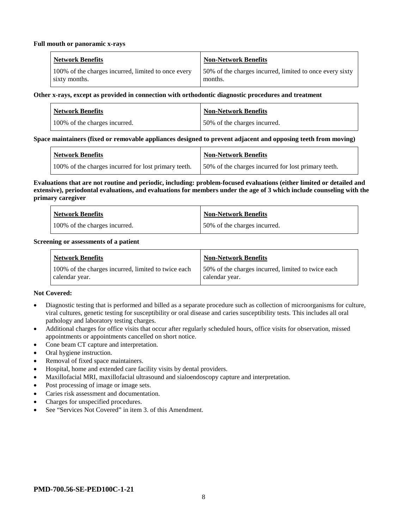#### **Full mouth or panoramic x-rays**

| <b>Network Benefits</b>                             | Non-Network Benefits                                     |
|-----------------------------------------------------|----------------------------------------------------------|
| 100% of the charges incurred, limited to once every | 50% of the charges incurred, limited to once every sixty |
| sixty months.                                       | months.                                                  |

#### **Other x-rays, except as provided in connection with orthodontic diagnostic procedures and treatment**

| <b>Network Benefits</b>       | <b>Non-Network Benefits</b>  |
|-------------------------------|------------------------------|
| 100% of the charges incurred. | 50% of the charges incurred. |

## **Space maintainers (fixed or removable appliances designed to prevent adjacent and opposing teeth from moving)**

| Network Benefits                                     | <b>Non-Network Benefits</b>                          |
|------------------------------------------------------|------------------------------------------------------|
| 100% of the charges incurred for lost primary teeth. | 150% of the charges incurred for lost primary teeth. |

#### **Evaluations that are not routine and periodic, including: problem-focused evaluations (either limited or detailed and extensive), periodontal evaluations, and evaluations for members under the age of 3 which include counseling with the primary caregiver**

| <b>Network Benefits</b>       | <b>Non-Network Benefits</b>  |
|-------------------------------|------------------------------|
| 100% of the charges incurred. | 50% of the charges incurred. |

#### **Screening or assessments of a patient**

| <b>Network Benefits</b>                                               | <b>Non-Network Benefits</b>                                          |
|-----------------------------------------------------------------------|----------------------------------------------------------------------|
| 100% of the charges incurred, limited to twice each<br>calendar year. | 50% of the charges incurred, limited to twice each<br>calendar year. |

## **Not Covered:**

- Diagnostic testing that is performed and billed as a separate procedure such as collection of microorganisms for culture, viral cultures, genetic testing for susceptibility or oral disease and caries susceptibility tests. This includes all oral pathology and laboratory testing charges.
- Additional charges for office visits that occur after regularly scheduled hours, office visits for observation, missed appointments or appointments cancelled on short notice.
- Cone beam CT capture and interpretation.
- Oral hygiene instruction.
- Removal of fixed space maintainers.
- Hospital, home and extended care facility visits by dental providers.
- Maxillofacial MRI, maxillofacial ultrasound and sialoendoscopy capture and interpretation.
- Post processing of image or image sets.
- Caries risk assessment and documentation.
- Charges for unspecified procedures.
- See "Services Not Covered" in item 3. of this Amendment.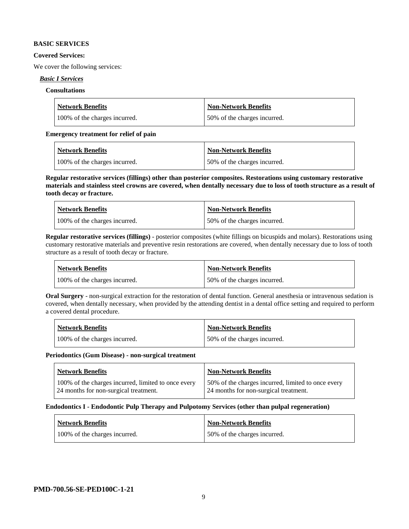#### **BASIC SERVICES**

#### **Covered Services:**

We cover the following services:

## *Basic I Services*

## **Consultations**

| <b>Network Benefits</b>       | Non-Network Benefits         |
|-------------------------------|------------------------------|
| 100% of the charges incurred. | 50% of the charges incurred. |

#### **Emergency treatment for relief of pain**

| <b>Network Benefits</b>       | <b>Non-Network Benefits</b>  |
|-------------------------------|------------------------------|
| 100% of the charges incurred. | 50% of the charges incurred. |

**Regular restorative services (fillings) other than posterior composites. Restorations using customary restorative materials and stainless steel crowns are covered, when dentally necessary due to loss of tooth structure as a result of tooth decay or fracture.**

| <b>Network Benefits</b>       | <b>Non-Network Benefits</b>   |
|-------------------------------|-------------------------------|
| 100% of the charges incurred. | 150% of the charges incurred. |

**Regular restorative services (fillings)** - posterior composites (white fillings on bicuspids and molars). Restorations using customary restorative materials and preventive resin restorations are covered, when dentally necessary due to loss of tooth structure as a result of tooth decay or fracture.

| Network Benefits              | Non-Network Benefits         |
|-------------------------------|------------------------------|
| 100% of the charges incurred. | 50% of the charges incurred. |

**Oral Surgery** - non-surgical extraction for the restoration of dental function. General anesthesia or intravenous sedation is covered, when dentally necessary, when provided by the attending dentist in a dental office setting and required to perform a covered dental procedure.

| <b>Network Benefits</b>       | <b>Non-Network Benefits</b>  |
|-------------------------------|------------------------------|
| 100% of the charges incurred. | 50% of the charges incurred. |

#### **Periodontics (Gum Disease) - non-surgical treatment**

| Network Benefits                                                                             | <b>Non-Network Benefits</b>                                                                 |
|----------------------------------------------------------------------------------------------|---------------------------------------------------------------------------------------------|
| 100% of the charges incurred, limited to once every<br>24 months for non-surgical treatment. | 50% of the charges incurred, limited to once every<br>24 months for non-surgical treatment. |

## **Endodontics I - Endodontic Pulp Therapy and Pulpotomy Services (other than pulpal regeneration)**

| Network Benefits              | Non-Network Benefits         |
|-------------------------------|------------------------------|
| 100% of the charges incurred. | 50% of the charges incurred. |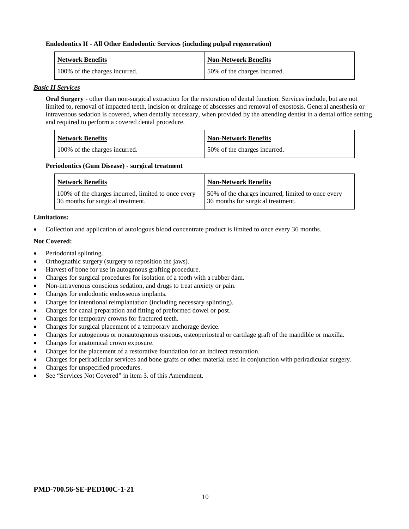#### **Endodontics II - All Other Endodontic Services (including pulpal regeneration)**

| <b>Network Benefits</b>       | <b>Non-Network Benefits</b>  |
|-------------------------------|------------------------------|
| 100% of the charges incurred. | 50% of the charges incurred. |

## *Basic II Services*

**Oral Surgery** - other than non-surgical extraction for the restoration of dental function. Services include, but are not limited to, removal of impacted teeth, incision or drainage of abscesses and removal of exostosis. General anesthesia or intravenous sedation is covered, when dentally necessary, when provided by the attending dentist in a dental office setting and required to perform a covered dental procedure.

| <b>Network Benefits</b>       | <b>Non-Network Benefits</b>  |
|-------------------------------|------------------------------|
| 100% of the charges incurred. | 50% of the charges incurred. |

#### **Periodontics (Gum Disease) - surgical treatment**

| <b>Network Benefits</b>                                                                  | <b>Non-Network Benefits</b>                                                             |
|------------------------------------------------------------------------------------------|-----------------------------------------------------------------------------------------|
| 100% of the charges incurred, limited to once every<br>36 months for surgical treatment. | 50% of the charges incurred, limited to once every<br>36 months for surgical treatment. |

#### **Limitations:**

• Collection and application of autologous blood concentrate product is limited to once every 36 months.

#### **Not Covered:**

- Periodontal splinting.
- Orthognathic surgery (surgery to reposition the jaws).
- Harvest of bone for use in autogenous grafting procedure.
- Charges for surgical procedures for isolation of a tooth with a rubber dam.
- Non-intravenous conscious sedation, and drugs to treat anxiety or pain.
- Charges for endodontic endosseous implants.
- Charges for intentional reimplantation (including necessary splinting).
- Charges for canal preparation and fitting of preformed dowel or post.
- Charges for temporary crowns for fractured teeth.
- Charges for surgical placement of a temporary anchorage device.
- Charges for autogenous or nonautogenous osseous, osteoperiosteal or cartilage graft of the mandible or maxilla.
- Charges for anatomical crown exposure.
- Charges for the placement of a restorative foundation for an indirect restoration.
- Charges for periradicular services and bone grafts or other material used in conjunction with periradicular surgery.
- Charges for unspecified procedures.
- See "Services Not Covered" in item 3, of this Amendment.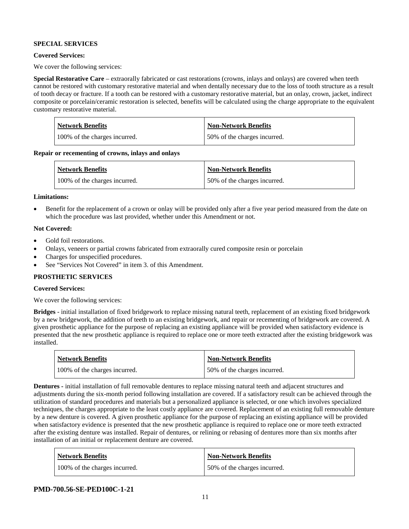## **SPECIAL SERVICES**

## **Covered Services:**

We cover the following services:

**Special Restorative Care** – extraorally fabricated or cast restorations (crowns, inlays and onlays) are covered when teeth cannot be restored with customary restorative material and when dentally necessary due to the loss of tooth structure as a result of tooth decay or fracture. If a tooth can be restored with a customary restorative material, but an onlay, crown, jacket, indirect composite or porcelain/ceramic restoration is selected, benefits will be calculated using the charge appropriate to the equivalent customary restorative material.

| <b>Network Benefits</b>       | <b>Non-Network Benefits</b>  |
|-------------------------------|------------------------------|
| 100% of the charges incurred. | 50% of the charges incurred. |

**Repair or recementing of crowns, inlays and onlays**

| <b>Network Benefits</b>       | <b>Non-Network Benefits</b>  |
|-------------------------------|------------------------------|
| 100% of the charges incurred. | 50% of the charges incurred. |

#### **Limitations:**

• Benefit for the replacement of a crown or onlay will be provided only after a five year period measured from the date on which the procedure was last provided, whether under this Amendment or not.

## **Not Covered:**

- Gold foil restorations.
- Onlays, veneers or partial crowns fabricated from extraorally cured composite resin or porcelain
- Charges for unspecified procedures.
- See "Services Not Covered" in item 3. of this Amendment.

## **PROSTHETIC SERVICES**

## **Covered Services:**

We cover the following services:

**Bridges** - initial installation of fixed bridgework to replace missing natural teeth, replacement of an existing fixed bridgework by a new bridgework, the addition of teeth to an existing bridgework, and repair or recementing of bridgework are covered. A given prosthetic appliance for the purpose of replacing an existing appliance will be provided when satisfactory evidence is presented that the new prosthetic appliance is required to replace one or more teeth extracted after the existing bridgework was installed.

| <b>Network Benefits</b>       | <b>Non-Network Benefits</b>  |
|-------------------------------|------------------------------|
| 100% of the charges incurred. | 50% of the charges incurred. |

**Dentures -** initial installation of full removable dentures to replace missing natural teeth and adjacent structures and adjustments during the six-month period following installation are covered. If a satisfactory result can be achieved through the utilization of standard procedures and materials but a personalized appliance is selected, or one which involves specialized techniques, the charges appropriate to the least costly appliance are covered. Replacement of an existing full removable denture by a new denture is covered. A given prosthetic appliance for the purpose of replacing an existing appliance will be provided when satisfactory evidence is presented that the new prosthetic appliance is required to replace one or more teeth extracted after the existing denture was installed. Repair of dentures, or relining or rebasing of dentures more than six months after installation of an initial or replacement denture are covered.

| <b>Network Benefits</b>       | <b>Non-Network Benefits</b>  |
|-------------------------------|------------------------------|
| 100% of the charges incurred. | 50% of the charges incurred. |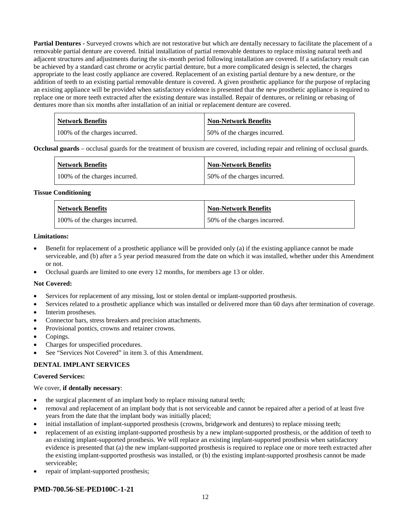**Partial Dentures** - Surveyed crowns which are not restorative but which are dentally necessary to facilitate the placement of a removable partial denture are covered. Initial installation of partial removable dentures to replace missing natural teeth and adjacent structures and adjustments during the six-month period following installation are covered. If a satisfactory result can be achieved by a standard cast chrome or acrylic partial denture, but a more complicated design is selected, the charges appropriate to the least costly appliance are covered. Replacement of an existing partial denture by a new denture, or the addition of teeth to an existing partial removable denture is covered. A given prosthetic appliance for the purpose of replacing an existing appliance will be provided when satisfactory evidence is presented that the new prosthetic appliance is required to replace one or more teeth extracted after the existing denture was installed. Repair of dentures, or relining or rebasing of dentures more than six months after installation of an initial or replacement denture are covered.

| <b>Network Benefits</b>       | <b>Non-Network Benefits</b>  |
|-------------------------------|------------------------------|
| 100% of the charges incurred. | 50% of the charges incurred. |

**Occlusal guards** – occlusal guards for the treatment of bruxism are covered, including repair and relining of occlusal guards.

| <b>Network Benefits</b>       | <b>Non-Network Benefits</b>  |
|-------------------------------|------------------------------|
| 100% of the charges incurred. | 50% of the charges incurred. |

#### **Tissue Conditioning**

| <b>Network Benefits</b>       | <b>Non-Network Benefits</b>  |
|-------------------------------|------------------------------|
| 100% of the charges incurred. | 50% of the charges incurred. |

#### **Limitations:**

- Benefit for replacement of a prosthetic appliance will be provided only (a) if the existing appliance cannot be made serviceable, and (b) after a 5 year period measured from the date on which it was installed, whether under this Amendment or not.
- Occlusal guards are limited to one every 12 months, for members age 13 or older.

## **Not Covered:**

- Services for replacement of any missing, lost or stolen dental or implant-supported prosthesis.
- Services related to a prosthetic appliance which was installed or delivered more than 60 days after termination of coverage.
- Interim prostheses.
- Connector bars, stress breakers and precision attachments.
- Provisional pontics, crowns and retainer crowns.
- Copings.
- Charges for unspecified procedures.
- See "Services Not Covered" in item 3. of this Amendment.

## **DENTAL IMPLANT SERVICES**

## **Covered Services:**

## We cover, **if dentally necessary**:

- the surgical placement of an implant body to replace missing natural teeth;
- removal and replacement of an implant body that is not serviceable and cannot be repaired after a period of at least five years from the date that the implant body was initially placed;
- initial installation of implant-supported prosthesis (crowns, bridgework and dentures) to replace missing teeth;
- replacement of an existing implant-supported prosthesis by a new implant-supported prosthesis, or the addition of teeth to an existing implant-supported prosthesis. We will replace an existing implant-supported prosthesis when satisfactory evidence is presented that (a) the new implant-supported prosthesis is required to replace one or more teeth extracted after the existing implant-supported prosthesis was installed, or (b) the existing implant-supported prosthesis cannot be made serviceable;
- repair of implant-supported prosthesis;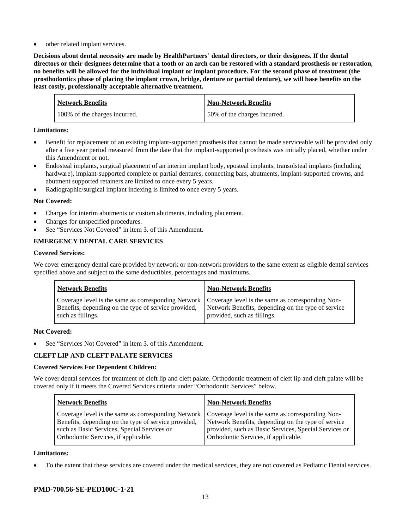other related implant services.

**Decisions about dental necessity are made by HealthPartners**' **dental directors, or their designees. If the dental directors or their designees determine that a tooth or an arch can be restored with a standard prosthesis or restoration, no benefits will be allowed for the individual implant or implant procedure. For the second phase of treatment (the prosthodontics phase of placing the implant crown, bridge, denture or partial denture), we will base benefits on the least costly, professionally acceptable alternative treatment.**

| <b>Network Benefits</b>       | <b>Non-Network Benefits</b>  |
|-------------------------------|------------------------------|
| 100% of the charges incurred. | 50% of the charges incurred. |

## **Limitations:**

- Benefit for replacement of an existing implant-supported prosthesis that cannot be made serviceable will be provided only after a five year period measured from the date that the implant-supported prosthesis was initially placed, whether under this Amendment or not.
- Endosteal implants, surgical placement of an interim implant body, eposteal implants, transolsteal implants (including hardware), implant-supported complete or partial dentures, connecting bars, abutments, implant-supported crowns, and abutment supported retainers are limited to once every 5 years.
- Radiographic/surgical implant indexing is limited to once every 5 years.

## **Not Covered:**

- Charges for interim abutments or custom abutments, including placement.
- Charges for unspecified procedures.
- See "Services Not Covered" in item 3. of this Amendment.

## **EMERGENCY DENTAL CARE SERVICES**

## **Covered Services:**

We cover emergency dental care provided by network or non-network providers to the same extent as eligible dental services specified above and subject to the same deductibles, percentages and maximums.

| <b>Network Benefits</b>                                                                                                                                                             | <b>Non-Network Benefits</b>                                                       |
|-------------------------------------------------------------------------------------------------------------------------------------------------------------------------------------|-----------------------------------------------------------------------------------|
| Coverage level is the same as corresponding Network   Coverage level is the same as corresponding Non-<br>Benefits, depending on the type of service provided,<br>such as fillings. | Network Benefits, depending on the type of service<br>provided, such as fillings. |

## **Not Covered:**

See "Services Not Covered" in item 3. of this Amendment.

## **CLEFT LIP AND CLEFT PALATE SERVICES**

## **Covered Services For Dependent Children:**

We cover dental services for treatment of cleft lip and cleft palate. Orthodontic treatment of cleft lip and cleft palate will be covered only if it meets the Covered Services criteria under "Orthodontic Services" below.

| <b>Network Benefits</b>                              | <b>Non-Network Benefits</b>                           |
|------------------------------------------------------|-------------------------------------------------------|
| Coverage level is the same as corresponding Network  | Coverage level is the same as corresponding Non-      |
| Benefits, depending on the type of service provided, | Network Benefits, depending on the type of service    |
| such as Basic Services, Special Services or          | provided, such as Basic Services, Special Services or |
| Orthodontic Services, if applicable.                 | Orthodontic Services, if applicable.                  |

## **Limitations:**

• To the extent that these services are covered under the medical services, they are not covered as Pediatric Dental services.